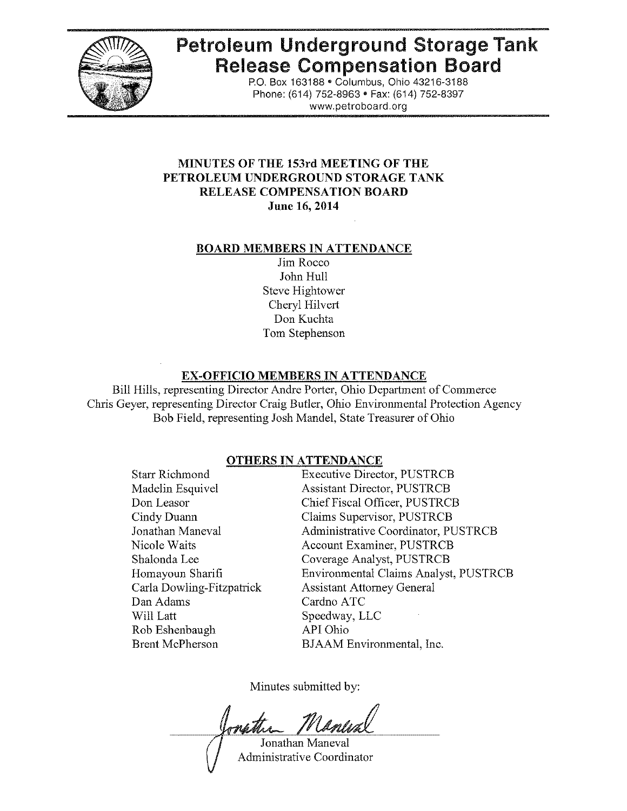

# Petroleum Underground Storage Tank Release Compensation Board

P.O. Box 163188· Columbus, Ohio 43216-3188 Phone: (614) 752-8963 · Fax: (614) 752-8397 www.petroboard.org

# MINUTES OF THE 153rd MEETING OF THE PETROLEUM UNDERGROUND STORAGE TANK RELEASE COMPENSATION BOARD June 16,2014

# BOARD MEMBERS IN ATTENDANCE

Jim Rocco John Hull Steve Hightower Cheryl Hilvert Don Kuchta Tom Stephenson

# EX-OFFICIO MEMBERS IN ATTENDANCE

Bill Hills, representing Director Andre Porter, Ohio Department of Commerce Chris Geyer, representing Director Craig Butler, Ohio Environmental Protection Agency Bob Field, representing Josh Mandel, State Treasurer of Ohio

# OTHERS IN ATTENDANCE

Starr Richmond Madelin Esquivel Don Leasor Cindy Duann Jonathan Maneval Nicole Waits Shalonda Lee Homayoun Sharifi Carla Dowling-Fitzpatrick Dan Adams Will Latt Rob Eshenbaugh Brent McPherson

Executive Director, PUSTRCB Assistant Director, PUSTRCB Chief Fiscal Officer, PUSTRCB Claims Supervisor, PUSTRCB Administrative Coordinator, PUSTRCB Account Examiner, PUSTRCB Coverage Analyst, PUSTRCB Environmental Claims Analyst, PUSTRCB Assistant Attorney General Cardno ATC Speedway, LLC API Ohio BJAAM Environmental, Inc.

Minutes submitted by:

onathin Jonathan Maneval

Administrative Coordinator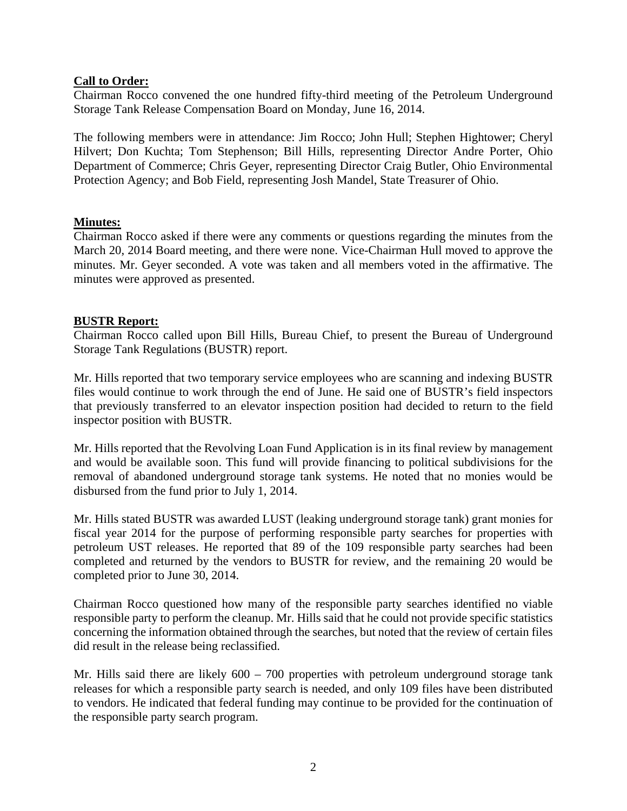# **Call to Order:**

Chairman Rocco convened the one hundred fifty-third meeting of the Petroleum Underground Storage Tank Release Compensation Board on Monday, June 16, 2014.

The following members were in attendance: Jim Rocco; John Hull; Stephen Hightower; Cheryl Hilvert; Don Kuchta; Tom Stephenson; Bill Hills, representing Director Andre Porter, Ohio Department of Commerce; Chris Geyer, representing Director Craig Butler, Ohio Environmental Protection Agency; and Bob Field, representing Josh Mandel, State Treasurer of Ohio.

# **Minutes:**

Chairman Rocco asked if there were any comments or questions regarding the minutes from the March 20, 2014 Board meeting, and there were none. Vice-Chairman Hull moved to approve the minutes. Mr. Geyer seconded. A vote was taken and all members voted in the affirmative. The minutes were approved as presented.

# **BUSTR Report:**

Chairman Rocco called upon Bill Hills, Bureau Chief, to present the Bureau of Underground Storage Tank Regulations (BUSTR) report.

Mr. Hills reported that two temporary service employees who are scanning and indexing BUSTR files would continue to work through the end of June. He said one of BUSTR's field inspectors that previously transferred to an elevator inspection position had decided to return to the field inspector position with BUSTR.

Mr. Hills reported that the Revolving Loan Fund Application is in its final review by management and would be available soon. This fund will provide financing to political subdivisions for the removal of abandoned underground storage tank systems. He noted that no monies would be disbursed from the fund prior to July 1, 2014.

Mr. Hills stated BUSTR was awarded LUST (leaking underground storage tank) grant monies for fiscal year 2014 for the purpose of performing responsible party searches for properties with petroleum UST releases. He reported that 89 of the 109 responsible party searches had been completed and returned by the vendors to BUSTR for review, and the remaining 20 would be completed prior to June 30, 2014.

Chairman Rocco questioned how many of the responsible party searches identified no viable responsible party to perform the cleanup. Mr. Hills said that he could not provide specific statistics concerning the information obtained through the searches, but noted that the review of certain files did result in the release being reclassified.

Mr. Hills said there are likely  $600 - 700$  properties with petroleum underground storage tank releases for which a responsible party search is needed, and only 109 files have been distributed to vendors. He indicated that federal funding may continue to be provided for the continuation of the responsible party search program.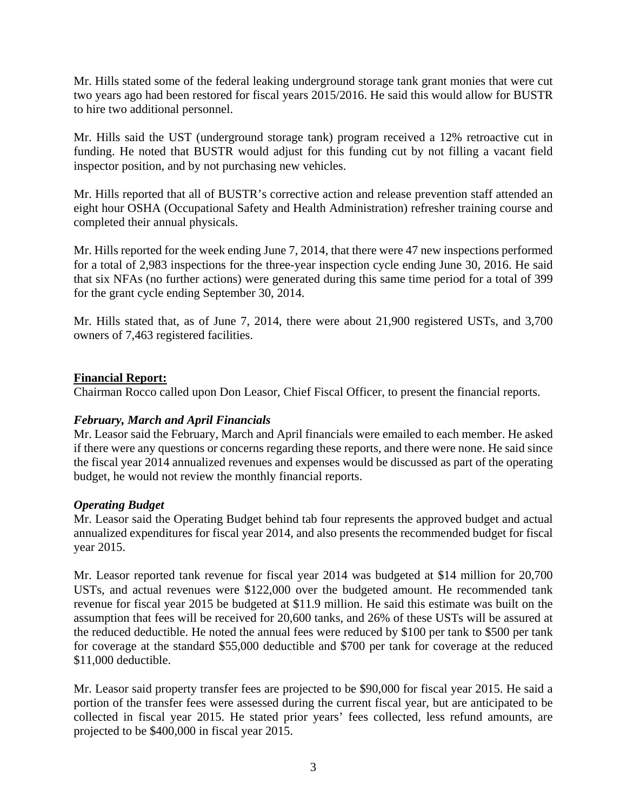Mr. Hills stated some of the federal leaking underground storage tank grant monies that were cut two years ago had been restored for fiscal years 2015/2016. He said this would allow for BUSTR to hire two additional personnel.

Mr. Hills said the UST (underground storage tank) program received a 12% retroactive cut in funding. He noted that BUSTR would adjust for this funding cut by not filling a vacant field inspector position, and by not purchasing new vehicles.

Mr. Hills reported that all of BUSTR's corrective action and release prevention staff attended an eight hour OSHA (Occupational Safety and Health Administration) refresher training course and completed their annual physicals.

Mr. Hills reported for the week ending June 7, 2014, that there were 47 new inspections performed for a total of 2,983 inspections for the three-year inspection cycle ending June 30, 2016. He said that six NFAs (no further actions) were generated during this same time period for a total of 399 for the grant cycle ending September 30, 2014.

Mr. Hills stated that, as of June 7, 2014, there were about 21,900 registered USTs, and 3,700 owners of 7,463 registered facilities.

# **Financial Report:**

Chairman Rocco called upon Don Leasor, Chief Fiscal Officer, to present the financial reports.

# *February, March and April Financials*

Mr. Leasor said the February, March and April financials were emailed to each member. He asked if there were any questions or concerns regarding these reports, and there were none. He said since the fiscal year 2014 annualized revenues and expenses would be discussed as part of the operating budget, he would not review the monthly financial reports.

# *Operating Budget*

Mr. Leasor said the Operating Budget behind tab four represents the approved budget and actual annualized expenditures for fiscal year 2014, and also presents the recommended budget for fiscal year 2015.

Mr. Leasor reported tank revenue for fiscal year 2014 was budgeted at \$14 million for 20,700 USTs, and actual revenues were \$122,000 over the budgeted amount. He recommended tank revenue for fiscal year 2015 be budgeted at \$11.9 million. He said this estimate was built on the assumption that fees will be received for 20,600 tanks, and 26% of these USTs will be assured at the reduced deductible. He noted the annual fees were reduced by \$100 per tank to \$500 per tank for coverage at the standard \$55,000 deductible and \$700 per tank for coverage at the reduced \$11,000 deductible.

Mr. Leasor said property transfer fees are projected to be \$90,000 for fiscal year 2015. He said a portion of the transfer fees were assessed during the current fiscal year, but are anticipated to be collected in fiscal year 2015. He stated prior years' fees collected, less refund amounts, are projected to be \$400,000 in fiscal year 2015.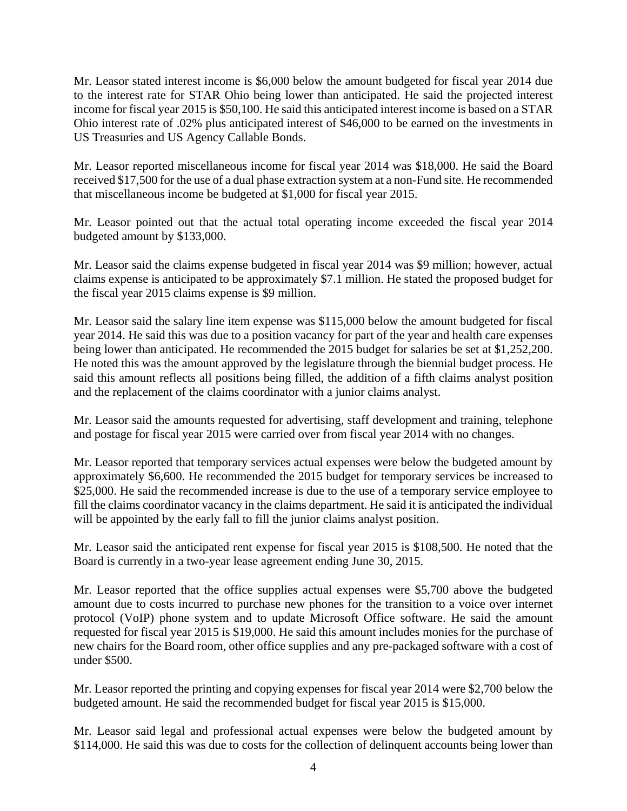Mr. Leasor stated interest income is \$6,000 below the amount budgeted for fiscal year 2014 due to the interest rate for STAR Ohio being lower than anticipated. He said the projected interest income for fiscal year 2015 is \$50,100. He said this anticipated interest income is based on a STAR Ohio interest rate of .02% plus anticipated interest of \$46,000 to be earned on the investments in US Treasuries and US Agency Callable Bonds.

Mr. Leasor reported miscellaneous income for fiscal year 2014 was \$18,000. He said the Board received \$17,500 for the use of a dual phase extraction system at a non-Fund site. He recommended that miscellaneous income be budgeted at \$1,000 for fiscal year 2015.

Mr. Leasor pointed out that the actual total operating income exceeded the fiscal year 2014 budgeted amount by \$133,000.

Mr. Leasor said the claims expense budgeted in fiscal year 2014 was \$9 million; however, actual claims expense is anticipated to be approximately \$7.1 million. He stated the proposed budget for the fiscal year 2015 claims expense is \$9 million.

Mr. Leasor said the salary line item expense was \$115,000 below the amount budgeted for fiscal year 2014. He said this was due to a position vacancy for part of the year and health care expenses being lower than anticipated. He recommended the 2015 budget for salaries be set at \$1,252,200. He noted this was the amount approved by the legislature through the biennial budget process. He said this amount reflects all positions being filled, the addition of a fifth claims analyst position and the replacement of the claims coordinator with a junior claims analyst.

Mr. Leasor said the amounts requested for advertising, staff development and training, telephone and postage for fiscal year 2015 were carried over from fiscal year 2014 with no changes.

Mr. Leasor reported that temporary services actual expenses were below the budgeted amount by approximately \$6,600. He recommended the 2015 budget for temporary services be increased to \$25,000. He said the recommended increase is due to the use of a temporary service employee to fill the claims coordinator vacancy in the claims department. He said it is anticipated the individual will be appointed by the early fall to fill the junior claims analyst position.

Mr. Leasor said the anticipated rent expense for fiscal year 2015 is \$108,500. He noted that the Board is currently in a two-year lease agreement ending June 30, 2015.

Mr. Leasor reported that the office supplies actual expenses were \$5,700 above the budgeted amount due to costs incurred to purchase new phones for the transition to a voice over internet protocol (VoIP) phone system and to update Microsoft Office software. He said the amount requested for fiscal year 2015 is \$19,000. He said this amount includes monies for the purchase of new chairs for the Board room, other office supplies and any pre-packaged software with a cost of under \$500.

Mr. Leasor reported the printing and copying expenses for fiscal year 2014 were \$2,700 below the budgeted amount. He said the recommended budget for fiscal year 2015 is \$15,000.

Mr. Leasor said legal and professional actual expenses were below the budgeted amount by \$114,000. He said this was due to costs for the collection of delinquent accounts being lower than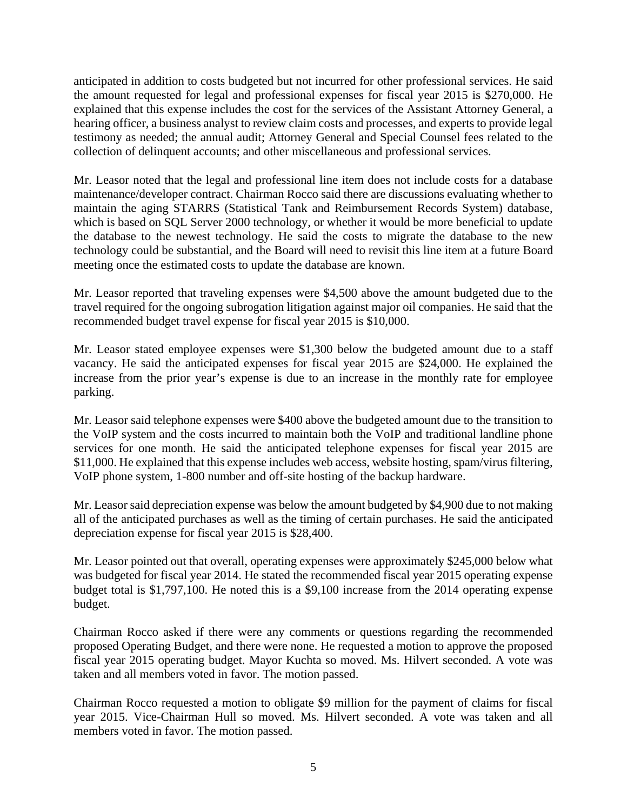anticipated in addition to costs budgeted but not incurred for other professional services. He said the amount requested for legal and professional expenses for fiscal year 2015 is \$270,000. He explained that this expense includes the cost for the services of the Assistant Attorney General, a hearing officer, a business analyst to review claim costs and processes, and experts to provide legal testimony as needed; the annual audit; Attorney General and Special Counsel fees related to the collection of delinquent accounts; and other miscellaneous and professional services.

Mr. Leasor noted that the legal and professional line item does not include costs for a database maintenance/developer contract. Chairman Rocco said there are discussions evaluating whether to maintain the aging STARRS (Statistical Tank and Reimbursement Records System) database, which is based on SQL Server 2000 technology, or whether it would be more beneficial to update the database to the newest technology. He said the costs to migrate the database to the new technology could be substantial, and the Board will need to revisit this line item at a future Board meeting once the estimated costs to update the database are known.

Mr. Leasor reported that traveling expenses were \$4,500 above the amount budgeted due to the travel required for the ongoing subrogation litigation against major oil companies. He said that the recommended budget travel expense for fiscal year 2015 is \$10,000.

Mr. Leasor stated employee expenses were \$1,300 below the budgeted amount due to a staff vacancy. He said the anticipated expenses for fiscal year 2015 are \$24,000. He explained the increase from the prior year's expense is due to an increase in the monthly rate for employee parking.

Mr. Leasor said telephone expenses were \$400 above the budgeted amount due to the transition to the VoIP system and the costs incurred to maintain both the VoIP and traditional landline phone services for one month. He said the anticipated telephone expenses for fiscal year 2015 are \$11,000. He explained that this expense includes web access, website hosting, spam/virus filtering, VoIP phone system, 1-800 number and off-site hosting of the backup hardware.

Mr. Leasor said depreciation expense was below the amount budgeted by \$4,900 due to not making all of the anticipated purchases as well as the timing of certain purchases. He said the anticipated depreciation expense for fiscal year 2015 is \$28,400.

Mr. Leasor pointed out that overall, operating expenses were approximately \$245,000 below what was budgeted for fiscal year 2014. He stated the recommended fiscal year 2015 operating expense budget total is \$1,797,100. He noted this is a \$9,100 increase from the 2014 operating expense budget.

Chairman Rocco asked if there were any comments or questions regarding the recommended proposed Operating Budget, and there were none. He requested a motion to approve the proposed fiscal year 2015 operating budget. Mayor Kuchta so moved. Ms. Hilvert seconded. A vote was taken and all members voted in favor. The motion passed.

Chairman Rocco requested a motion to obligate \$9 million for the payment of claims for fiscal year 2015. Vice-Chairman Hull so moved. Ms. Hilvert seconded. A vote was taken and all members voted in favor. The motion passed.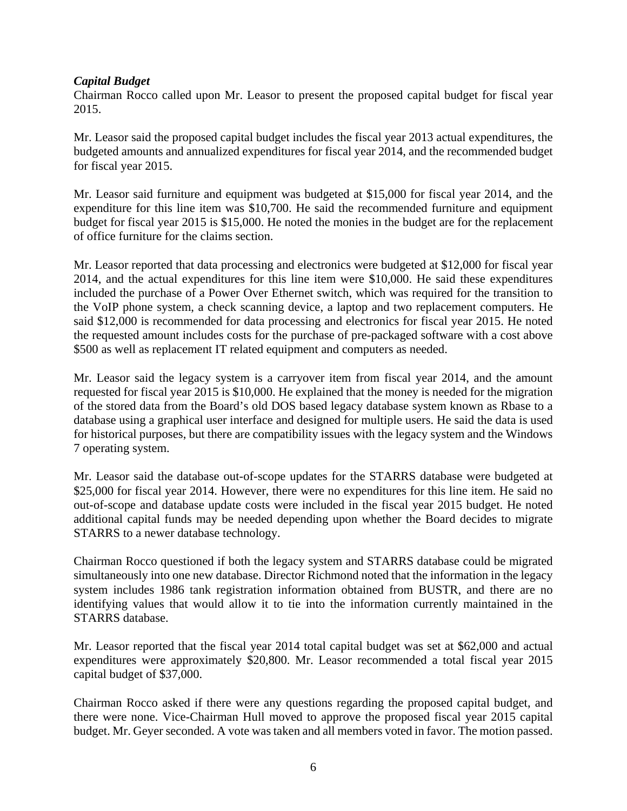# *Capital Budget*

Chairman Rocco called upon Mr. Leasor to present the proposed capital budget for fiscal year 2015.

Mr. Leasor said the proposed capital budget includes the fiscal year 2013 actual expenditures, the budgeted amounts and annualized expenditures for fiscal year 2014, and the recommended budget for fiscal year 2015.

Mr. Leasor said furniture and equipment was budgeted at \$15,000 for fiscal year 2014, and the expenditure for this line item was \$10,700. He said the recommended furniture and equipment budget for fiscal year 2015 is \$15,000. He noted the monies in the budget are for the replacement of office furniture for the claims section.

Mr. Leasor reported that data processing and electronics were budgeted at \$12,000 for fiscal year 2014, and the actual expenditures for this line item were \$10,000. He said these expenditures included the purchase of a Power Over Ethernet switch, which was required for the transition to the VoIP phone system, a check scanning device, a laptop and two replacement computers. He said \$12,000 is recommended for data processing and electronics for fiscal year 2015. He noted the requested amount includes costs for the purchase of pre-packaged software with a cost above \$500 as well as replacement IT related equipment and computers as needed.

Mr. Leasor said the legacy system is a carryover item from fiscal year 2014, and the amount requested for fiscal year 2015 is \$10,000. He explained that the money is needed for the migration of the stored data from the Board's old DOS based legacy database system known as Rbase to a database using a graphical user interface and designed for multiple users. He said the data is used for historical purposes, but there are compatibility issues with the legacy system and the Windows 7 operating system.

Mr. Leasor said the database out-of-scope updates for the STARRS database were budgeted at \$25,000 for fiscal year 2014. However, there were no expenditures for this line item. He said no out-of-scope and database update costs were included in the fiscal year 2015 budget. He noted additional capital funds may be needed depending upon whether the Board decides to migrate STARRS to a newer database technology.

Chairman Rocco questioned if both the legacy system and STARRS database could be migrated simultaneously into one new database. Director Richmond noted that the information in the legacy system includes 1986 tank registration information obtained from BUSTR, and there are no identifying values that would allow it to tie into the information currently maintained in the STARRS database.

Mr. Leasor reported that the fiscal year 2014 total capital budget was set at \$62,000 and actual expenditures were approximately \$20,800. Mr. Leasor recommended a total fiscal year 2015 capital budget of \$37,000.

Chairman Rocco asked if there were any questions regarding the proposed capital budget, and there were none. Vice-Chairman Hull moved to approve the proposed fiscal year 2015 capital budget. Mr. Geyer seconded. A vote was taken and all members voted in favor. The motion passed.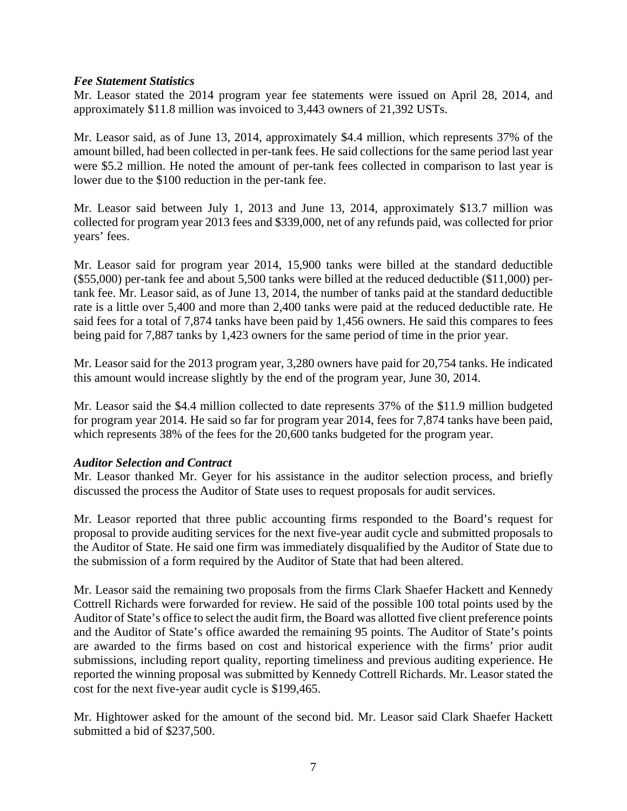#### *Fee Statement Statistics*

Mr. Leasor stated the 2014 program year fee statements were issued on April 28, 2014, and approximately \$11.8 million was invoiced to 3,443 owners of 21,392 USTs.

Mr. Leasor said, as of June 13, 2014, approximately \$4.4 million, which represents 37% of the amount billed, had been collected in per-tank fees. He said collections for the same period last year were \$5.2 million. He noted the amount of per-tank fees collected in comparison to last year is lower due to the \$100 reduction in the per-tank fee.

Mr. Leasor said between July 1, 2013 and June 13, 2014, approximately \$13.7 million was collected for program year 2013 fees and \$339,000, net of any refunds paid, was collected for prior years' fees.

Mr. Leasor said for program year 2014, 15,900 tanks were billed at the standard deductible (\$55,000) per-tank fee and about 5,500 tanks were billed at the reduced deductible (\$11,000) pertank fee. Mr. Leasor said, as of June 13, 2014, the number of tanks paid at the standard deductible rate is a little over 5,400 and more than 2,400 tanks were paid at the reduced deductible rate. He said fees for a total of 7,874 tanks have been paid by 1,456 owners. He said this compares to fees being paid for 7,887 tanks by 1,423 owners for the same period of time in the prior year.

Mr. Leasor said for the 2013 program year, 3,280 owners have paid for 20,754 tanks. He indicated this amount would increase slightly by the end of the program year, June 30, 2014.

Mr. Leasor said the \$4.4 million collected to date represents 37% of the \$11.9 million budgeted for program year 2014. He said so far for program year 2014, fees for 7,874 tanks have been paid, which represents 38% of the fees for the 20,600 tanks budgeted for the program year.

# *Auditor Selection and Contract*

Mr. Leasor thanked Mr. Geyer for his assistance in the auditor selection process, and briefly discussed the process the Auditor of State uses to request proposals for audit services.

Mr. Leasor reported that three public accounting firms responded to the Board's request for proposal to provide auditing services for the next five-year audit cycle and submitted proposals to the Auditor of State. He said one firm was immediately disqualified by the Auditor of State due to the submission of a form required by the Auditor of State that had been altered.

Mr. Leasor said the remaining two proposals from the firms Clark Shaefer Hackett and Kennedy Cottrell Richards were forwarded for review. He said of the possible 100 total points used by the Auditor of State's office to select the audit firm, the Board was allotted five client preference points and the Auditor of State's office awarded the remaining 95 points. The Auditor of State's points are awarded to the firms based on cost and historical experience with the firms' prior audit submissions, including report quality, reporting timeliness and previous auditing experience. He reported the winning proposal was submitted by Kennedy Cottrell Richards. Mr. Leasor stated the cost for the next five-year audit cycle is \$199,465.

Mr. Hightower asked for the amount of the second bid. Mr. Leasor said Clark Shaefer Hackett submitted a bid of \$237,500.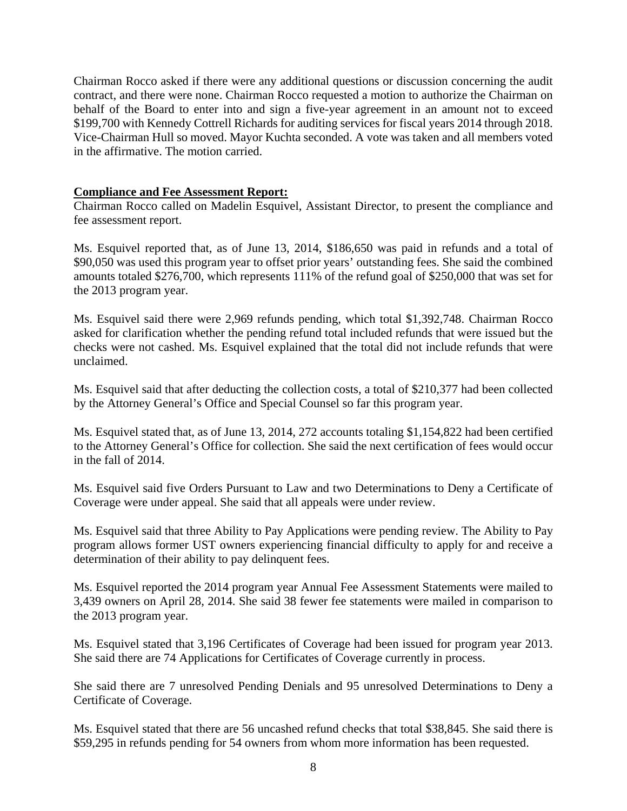Chairman Rocco asked if there were any additional questions or discussion concerning the audit contract, and there were none. Chairman Rocco requested a motion to authorize the Chairman on behalf of the Board to enter into and sign a five-year agreement in an amount not to exceed \$199,700 with Kennedy Cottrell Richards for auditing services for fiscal years 2014 through 2018. Vice-Chairman Hull so moved. Mayor Kuchta seconded. A vote was taken and all members voted in the affirmative. The motion carried.

# **Compliance and Fee Assessment Report:**

Chairman Rocco called on Madelin Esquivel, Assistant Director, to present the compliance and fee assessment report.

Ms. Esquivel reported that, as of June 13, 2014, \$186,650 was paid in refunds and a total of \$90,050 was used this program year to offset prior years' outstanding fees. She said the combined amounts totaled \$276,700, which represents 111% of the refund goal of \$250,000 that was set for the 2013 program year.

Ms. Esquivel said there were 2,969 refunds pending, which total \$1,392,748. Chairman Rocco asked for clarification whether the pending refund total included refunds that were issued but the checks were not cashed. Ms. Esquivel explained that the total did not include refunds that were unclaimed.

Ms. Esquivel said that after deducting the collection costs, a total of \$210,377 had been collected by the Attorney General's Office and Special Counsel so far this program year.

Ms. Esquivel stated that, as of June 13, 2014, 272 accounts totaling \$1,154,822 had been certified to the Attorney General's Office for collection. She said the next certification of fees would occur in the fall of 2014.

Ms. Esquivel said five Orders Pursuant to Law and two Determinations to Deny a Certificate of Coverage were under appeal. She said that all appeals were under review.

Ms. Esquivel said that three Ability to Pay Applications were pending review. The Ability to Pay program allows former UST owners experiencing financial difficulty to apply for and receive a determination of their ability to pay delinquent fees.

Ms. Esquivel reported the 2014 program year Annual Fee Assessment Statements were mailed to 3,439 owners on April 28, 2014. She said 38 fewer fee statements were mailed in comparison to the 2013 program year.

Ms. Esquivel stated that 3,196 Certificates of Coverage had been issued for program year 2013. She said there are 74 Applications for Certificates of Coverage currently in process.

She said there are 7 unresolved Pending Denials and 95 unresolved Determinations to Deny a Certificate of Coverage.

Ms. Esquivel stated that there are 56 uncashed refund checks that total \$38,845. She said there is \$59,295 in refunds pending for 54 owners from whom more information has been requested.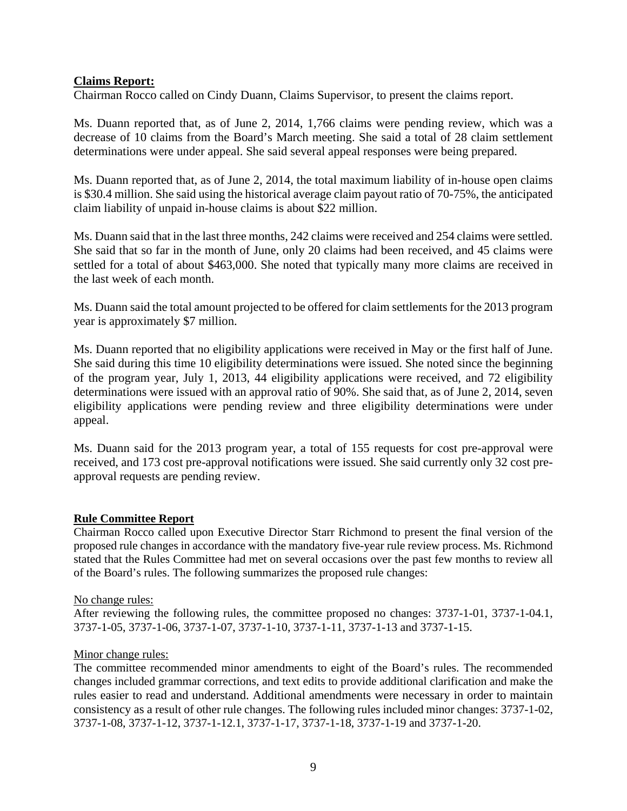# **Claims Report:**

Chairman Rocco called on Cindy Duann, Claims Supervisor, to present the claims report.

Ms. Duann reported that, as of June 2, 2014, 1,766 claims were pending review, which was a decrease of 10 claims from the Board's March meeting. She said a total of 28 claim settlement determinations were under appeal. She said several appeal responses were being prepared.

Ms. Duann reported that, as of June 2, 2014, the total maximum liability of in-house open claims is \$30.4 million. She said using the historical average claim payout ratio of 70-75%, the anticipated claim liability of unpaid in-house claims is about \$22 million.

Ms. Duann said that in the last three months, 242 claims were received and 254 claims were settled. She said that so far in the month of June, only 20 claims had been received, and 45 claims were settled for a total of about \$463,000. She noted that typically many more claims are received in the last week of each month.

Ms. Duann said the total amount projected to be offered for claim settlements for the 2013 program year is approximately \$7 million.

Ms. Duann reported that no eligibility applications were received in May or the first half of June. She said during this time 10 eligibility determinations were issued. She noted since the beginning of the program year, July 1, 2013, 44 eligibility applications were received, and 72 eligibility determinations were issued with an approval ratio of 90%. She said that, as of June 2, 2014, seven eligibility applications were pending review and three eligibility determinations were under appeal.

Ms. Duann said for the 2013 program year, a total of 155 requests for cost pre-approval were received, and 173 cost pre-approval notifications were issued. She said currently only 32 cost preapproval requests are pending review.

# **Rule Committee Report**

Chairman Rocco called upon Executive Director Starr Richmond to present the final version of the proposed rule changes in accordance with the mandatory five-year rule review process. Ms. Richmond stated that the Rules Committee had met on several occasions over the past few months to review all of the Board's rules. The following summarizes the proposed rule changes:

# No change rules:

After reviewing the following rules, the committee proposed no changes: 3737-1-01, 3737-1-04.1, 3737-1-05, 3737-1-06, 3737-1-07, 3737-1-10, 3737-1-11, 3737-1-13 and 3737-1-15.

# Minor change rules:

The committee recommended minor amendments to eight of the Board's rules. The recommended changes included grammar corrections, and text edits to provide additional clarification and make the rules easier to read and understand. Additional amendments were necessary in order to maintain consistency as a result of other rule changes. The following rules included minor changes: 3737-1-02, 3737-1-08, 3737-1-12, 3737-1-12.1, 3737-1-17, 3737-1-18, 3737-1-19 and 3737-1-20.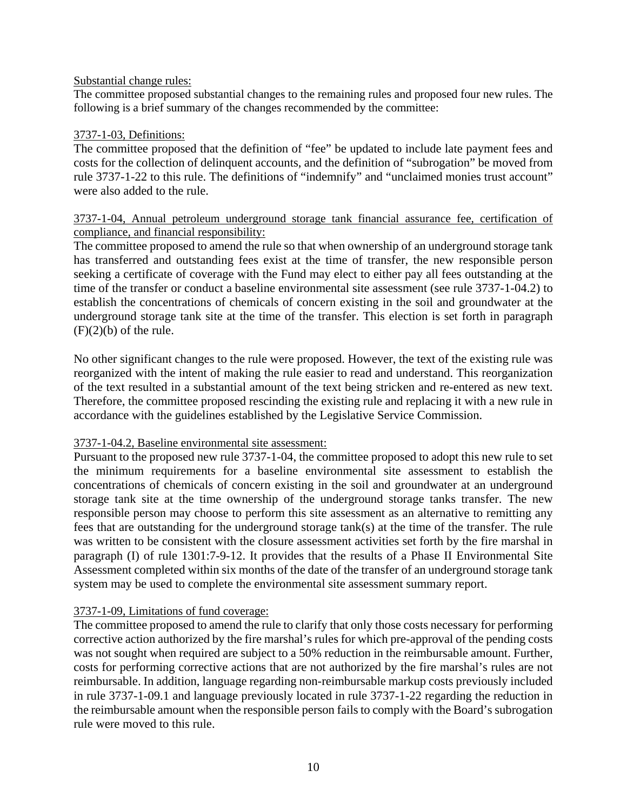#### Substantial change rules:

The committee proposed substantial changes to the remaining rules and proposed four new rules. The following is a brief summary of the changes recommended by the committee:

#### 3737-1-03, Definitions:

The committee proposed that the definition of "fee" be updated to include late payment fees and costs for the collection of delinquent accounts, and the definition of "subrogation" be moved from rule 3737-1-22 to this rule. The definitions of "indemnify" and "unclaimed monies trust account" were also added to the rule.

#### 3737-1-04, Annual petroleum underground storage tank financial assurance fee, certification of compliance, and financial responsibility:

The committee proposed to amend the rule so that when ownership of an underground storage tank has transferred and outstanding fees exist at the time of transfer, the new responsible person seeking a certificate of coverage with the Fund may elect to either pay all fees outstanding at the time of the transfer or conduct a baseline environmental site assessment (see rule 3737-1-04.2) to establish the concentrations of chemicals of concern existing in the soil and groundwater at the underground storage tank site at the time of the transfer. This election is set forth in paragraph  $(F)(2)(b)$  of the rule.

No other significant changes to the rule were proposed. However, the text of the existing rule was reorganized with the intent of making the rule easier to read and understand. This reorganization of the text resulted in a substantial amount of the text being stricken and re-entered as new text. Therefore, the committee proposed rescinding the existing rule and replacing it with a new rule in accordance with the guidelines established by the Legislative Service Commission.

# 3737-1-04.2, Baseline environmental site assessment:

Pursuant to the proposed new rule 3737-1-04, the committee proposed to adopt this new rule to set the minimum requirements for a baseline environmental site assessment to establish the concentrations of chemicals of concern existing in the soil and groundwater at an underground storage tank site at the time ownership of the underground storage tanks transfer. The new responsible person may choose to perform this site assessment as an alternative to remitting any fees that are outstanding for the underground storage tank(s) at the time of the transfer. The rule was written to be consistent with the closure assessment activities set forth by the fire marshal in paragraph (I) of rule 1301:7-9-12. It provides that the results of a Phase II Environmental Site Assessment completed within six months of the date of the transfer of an underground storage tank system may be used to complete the environmental site assessment summary report.

# 3737-1-09, Limitations of fund coverage:

The committee proposed to amend the rule to clarify that only those costs necessary for performing corrective action authorized by the fire marshal's rules for which pre-approval of the pending costs was not sought when required are subject to a 50% reduction in the reimbursable amount. Further, costs for performing corrective actions that are not authorized by the fire marshal's rules are not reimbursable. In addition, language regarding non-reimbursable markup costs previously included in rule 3737-1-09.1 and language previously located in rule 3737-1-22 regarding the reduction in the reimbursable amount when the responsible person fails to comply with the Board's subrogation rule were moved to this rule.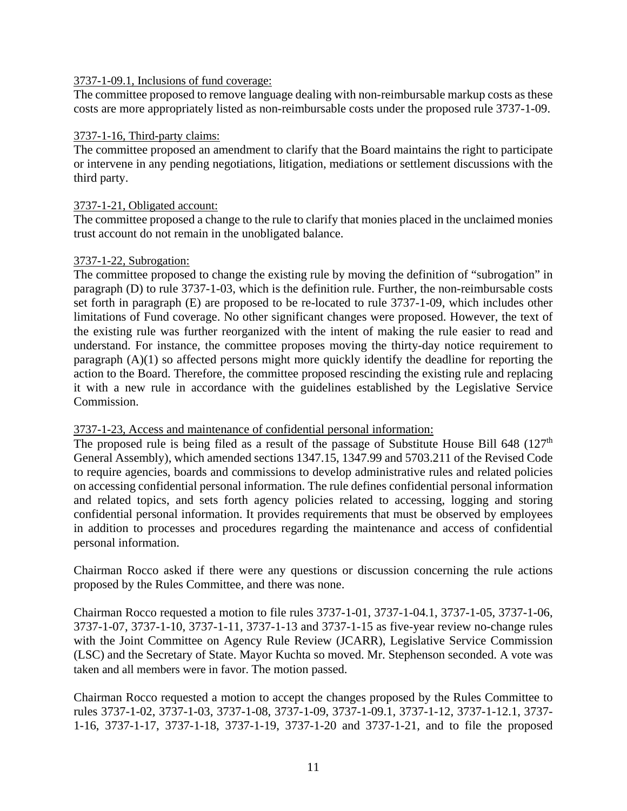#### 3737-1-09.1, Inclusions of fund coverage:

The committee proposed to remove language dealing with non-reimbursable markup costs as these costs are more appropriately listed as non-reimbursable costs under the proposed rule 3737-1-09.

#### 3737-1-16, Third-party claims:

The committee proposed an amendment to clarify that the Board maintains the right to participate or intervene in any pending negotiations, litigation, mediations or settlement discussions with the third party.

#### 3737-1-21, Obligated account:

The committee proposed a change to the rule to clarify that monies placed in the unclaimed monies trust account do not remain in the unobligated balance.

#### 3737-1-22, Subrogation:

The committee proposed to change the existing rule by moving the definition of "subrogation" in paragraph (D) to rule 3737-1-03, which is the definition rule. Further, the non-reimbursable costs set forth in paragraph (E) are proposed to be re-located to rule 3737-1-09, which includes other limitations of Fund coverage. No other significant changes were proposed. However, the text of the existing rule was further reorganized with the intent of making the rule easier to read and understand. For instance, the committee proposes moving the thirty-day notice requirement to paragraph (A)(1) so affected persons might more quickly identify the deadline for reporting the action to the Board. Therefore, the committee proposed rescinding the existing rule and replacing it with a new rule in accordance with the guidelines established by the Legislative Service Commission.

# 3737-1-23, Access and maintenance of confidential personal information:

The proposed rule is being filed as a result of the passage of Substitute House Bill 648 ( $127<sup>th</sup>$ General Assembly), which amended sections 1347.15, 1347.99 and 5703.211 of the Revised Code to require agencies, boards and commissions to develop administrative rules and related policies on accessing confidential personal information. The rule defines confidential personal information and related topics, and sets forth agency policies related to accessing, logging and storing confidential personal information. It provides requirements that must be observed by employees in addition to processes and procedures regarding the maintenance and access of confidential personal information.

Chairman Rocco asked if there were any questions or discussion concerning the rule actions proposed by the Rules Committee, and there was none.

Chairman Rocco requested a motion to file rules 3737-1-01, 3737-1-04.1, 3737-1-05, 3737-1-06, 3737-1-07, 3737-1-10, 3737-1-11, 3737-1-13 and 3737-1-15 as five-year review no-change rules with the Joint Committee on Agency Rule Review (JCARR), Legislative Service Commission (LSC) and the Secretary of State. Mayor Kuchta so moved. Mr. Stephenson seconded. A vote was taken and all members were in favor. The motion passed.

Chairman Rocco requested a motion to accept the changes proposed by the Rules Committee to rules 3737-1-02, 3737-1-03, 3737-1-08, 3737-1-09, 3737-1-09.1, 3737-1-12, 3737-1-12.1, 3737- 1-16, 3737-1-17, 3737-1-18, 3737-1-19, 3737-1-20 and 3737-1-21, and to file the proposed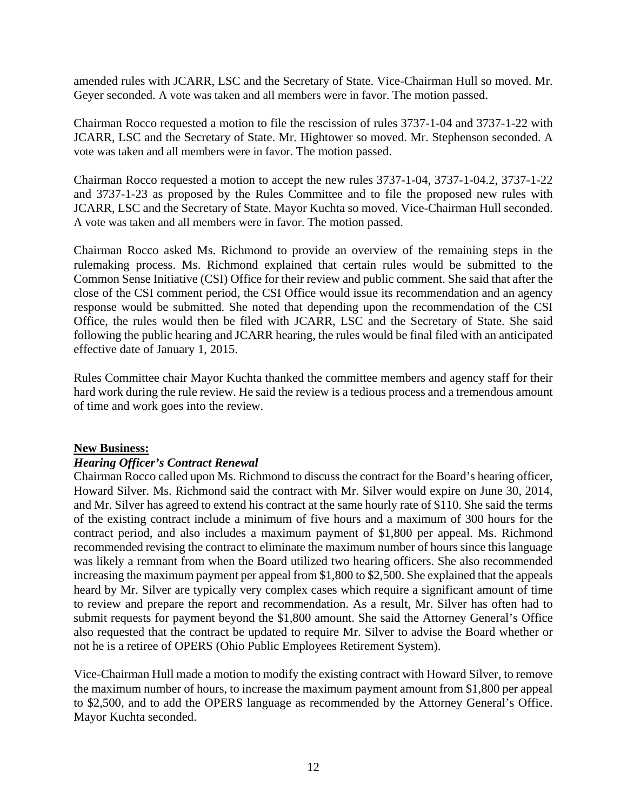amended rules with JCARR, LSC and the Secretary of State. Vice-Chairman Hull so moved. Mr. Geyer seconded. A vote was taken and all members were in favor. The motion passed.

Chairman Rocco requested a motion to file the rescission of rules 3737-1-04 and 3737-1-22 with JCARR, LSC and the Secretary of State. Mr. Hightower so moved. Mr. Stephenson seconded. A vote was taken and all members were in favor. The motion passed.

Chairman Rocco requested a motion to accept the new rules 3737-1-04, 3737-1-04.2, 3737-1-22 and 3737-1-23 as proposed by the Rules Committee and to file the proposed new rules with JCARR, LSC and the Secretary of State. Mayor Kuchta so moved. Vice-Chairman Hull seconded. A vote was taken and all members were in favor. The motion passed.

Chairman Rocco asked Ms. Richmond to provide an overview of the remaining steps in the rulemaking process. Ms. Richmond explained that certain rules would be submitted to the Common Sense Initiative (CSI) Office for their review and public comment. She said that after the close of the CSI comment period, the CSI Office would issue its recommendation and an agency response would be submitted. She noted that depending upon the recommendation of the CSI Office, the rules would then be filed with JCARR, LSC and the Secretary of State. She said following the public hearing and JCARR hearing, the rules would be final filed with an anticipated effective date of January 1, 2015.

Rules Committee chair Mayor Kuchta thanked the committee members and agency staff for their hard work during the rule review. He said the review is a tedious process and a tremendous amount of time and work goes into the review.

# **New Business:**

# *Hearing Officer's Contract Renewal*

Chairman Rocco called upon Ms. Richmond to discuss the contract for the Board's hearing officer, Howard Silver. Ms. Richmond said the contract with Mr. Silver would expire on June 30, 2014, and Mr. Silver has agreed to extend his contract at the same hourly rate of \$110. She said the terms of the existing contract include a minimum of five hours and a maximum of 300 hours for the contract period, and also includes a maximum payment of \$1,800 per appeal. Ms. Richmond recommended revising the contract to eliminate the maximum number of hours since this language was likely a remnant from when the Board utilized two hearing officers. She also recommended increasing the maximum payment per appeal from \$1,800 to \$2,500. She explained that the appeals heard by Mr. Silver are typically very complex cases which require a significant amount of time to review and prepare the report and recommendation. As a result, Mr. Silver has often had to submit requests for payment beyond the \$1,800 amount. She said the Attorney General's Office also requested that the contract be updated to require Mr. Silver to advise the Board whether or not he is a retiree of OPERS (Ohio Public Employees Retirement System).

Vice-Chairman Hull made a motion to modify the existing contract with Howard Silver, to remove the maximum number of hours, to increase the maximum payment amount from \$1,800 per appeal to \$2,500, and to add the OPERS language as recommended by the Attorney General's Office. Mayor Kuchta seconded.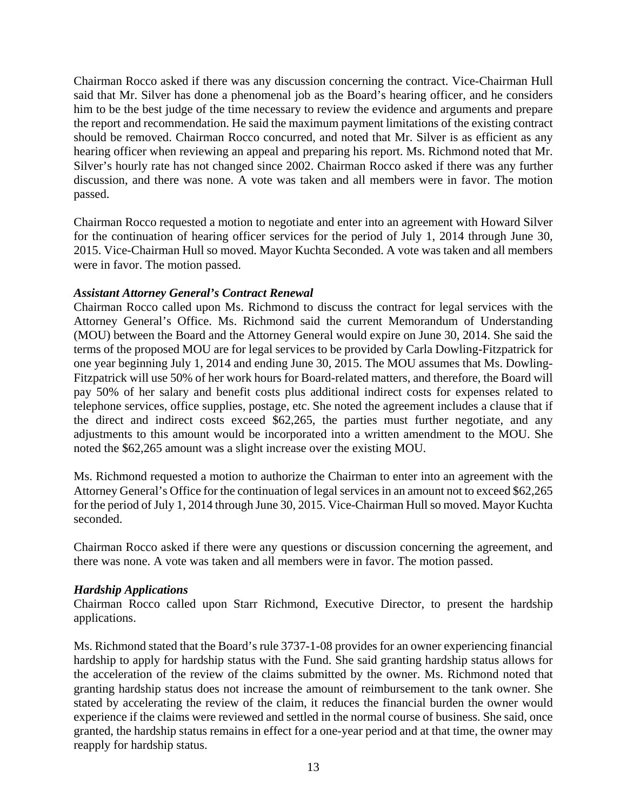Chairman Rocco asked if there was any discussion concerning the contract. Vice-Chairman Hull said that Mr. Silver has done a phenomenal job as the Board's hearing officer, and he considers him to be the best judge of the time necessary to review the evidence and arguments and prepare the report and recommendation. He said the maximum payment limitations of the existing contract should be removed. Chairman Rocco concurred, and noted that Mr. Silver is as efficient as any hearing officer when reviewing an appeal and preparing his report. Ms. Richmond noted that Mr. Silver's hourly rate has not changed since 2002. Chairman Rocco asked if there was any further discussion, and there was none. A vote was taken and all members were in favor. The motion passed.

Chairman Rocco requested a motion to negotiate and enter into an agreement with Howard Silver for the continuation of hearing officer services for the period of July 1, 2014 through June 30, 2015. Vice-Chairman Hull so moved. Mayor Kuchta Seconded. A vote was taken and all members were in favor. The motion passed.

# *Assistant Attorney General's Contract Renewal*

Chairman Rocco called upon Ms. Richmond to discuss the contract for legal services with the Attorney General's Office. Ms. Richmond said the current Memorandum of Understanding (MOU) between the Board and the Attorney General would expire on June 30, 2014. She said the terms of the proposed MOU are for legal services to be provided by Carla Dowling-Fitzpatrick for one year beginning July 1, 2014 and ending June 30, 2015. The MOU assumes that Ms. Dowling-Fitzpatrick will use 50% of her work hours for Board-related matters, and therefore, the Board will pay 50% of her salary and benefit costs plus additional indirect costs for expenses related to telephone services, office supplies, postage, etc. She noted the agreement includes a clause that if the direct and indirect costs exceed \$62,265, the parties must further negotiate, and any adjustments to this amount would be incorporated into a written amendment to the MOU. She noted the \$62,265 amount was a slight increase over the existing MOU.

Ms. Richmond requested a motion to authorize the Chairman to enter into an agreement with the Attorney General's Office for the continuation of legal services in an amount not to exceed \$62,265 for the period of July 1, 2014 through June 30, 2015. Vice-Chairman Hull so moved. Mayor Kuchta seconded.

Chairman Rocco asked if there were any questions or discussion concerning the agreement, and there was none. A vote was taken and all members were in favor. The motion passed.

# *Hardship Applications*

Chairman Rocco called upon Starr Richmond, Executive Director, to present the hardship applications.

Ms. Richmond stated that the Board's rule 3737-1-08 provides for an owner experiencing financial hardship to apply for hardship status with the Fund. She said granting hardship status allows for the acceleration of the review of the claims submitted by the owner. Ms. Richmond noted that granting hardship status does not increase the amount of reimbursement to the tank owner. She stated by accelerating the review of the claim, it reduces the financial burden the owner would experience if the claims were reviewed and settled in the normal course of business. She said, once granted, the hardship status remains in effect for a one-year period and at that time, the owner may reapply for hardship status.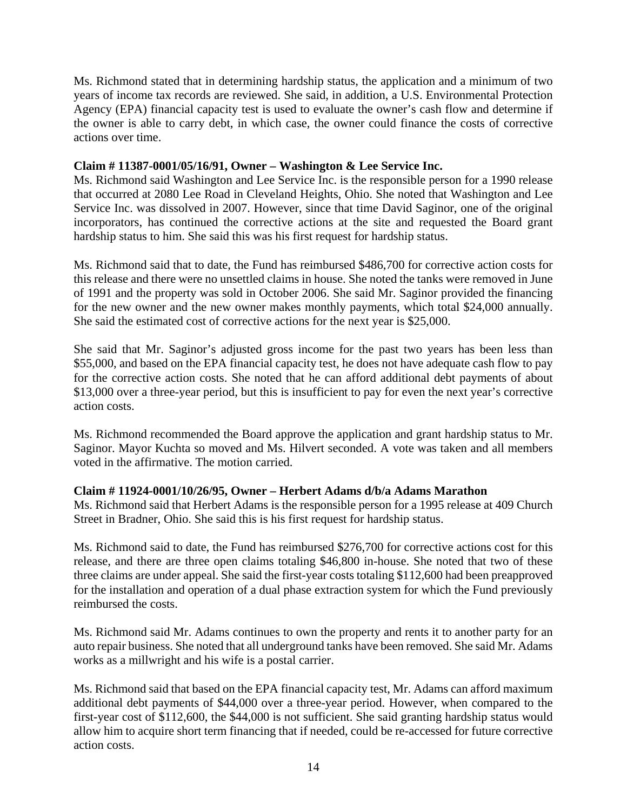Ms. Richmond stated that in determining hardship status, the application and a minimum of two years of income tax records are reviewed. She said, in addition, a U.S. Environmental Protection Agency (EPA) financial capacity test is used to evaluate the owner's cash flow and determine if the owner is able to carry debt, in which case, the owner could finance the costs of corrective actions over time.

# **Claim # 11387-0001/05/16/91, Owner – Washington & Lee Service Inc.**

Ms. Richmond said Washington and Lee Service Inc. is the responsible person for a 1990 release that occurred at 2080 Lee Road in Cleveland Heights, Ohio. She noted that Washington and Lee Service Inc. was dissolved in 2007. However, since that time David Saginor, one of the original incorporators, has continued the corrective actions at the site and requested the Board grant hardship status to him. She said this was his first request for hardship status.

Ms. Richmond said that to date, the Fund has reimbursed \$486,700 for corrective action costs for this release and there were no unsettled claims in house. She noted the tanks were removed in June of 1991 and the property was sold in October 2006. She said Mr. Saginor provided the financing for the new owner and the new owner makes monthly payments, which total \$24,000 annually. She said the estimated cost of corrective actions for the next year is \$25,000.

She said that Mr. Saginor's adjusted gross income for the past two years has been less than \$55,000, and based on the EPA financial capacity test, he does not have adequate cash flow to pay for the corrective action costs. She noted that he can afford additional debt payments of about \$13,000 over a three-year period, but this is insufficient to pay for even the next year's corrective action costs.

Ms. Richmond recommended the Board approve the application and grant hardship status to Mr. Saginor. Mayor Kuchta so moved and Ms. Hilvert seconded. A vote was taken and all members voted in the affirmative. The motion carried.

# **Claim # 11924-0001/10/26/95, Owner – Herbert Adams d/b/a Adams Marathon**

Ms. Richmond said that Herbert Adams is the responsible person for a 1995 release at 409 Church Street in Bradner, Ohio. She said this is his first request for hardship status.

Ms. Richmond said to date, the Fund has reimbursed \$276,700 for corrective actions cost for this release, and there are three open claims totaling \$46,800 in-house. She noted that two of these three claims are under appeal. She said the first-year costs totaling \$112,600 had been preapproved for the installation and operation of a dual phase extraction system for which the Fund previously reimbursed the costs.

Ms. Richmond said Mr. Adams continues to own the property and rents it to another party for an auto repair business. She noted that all underground tanks have been removed. She said Mr. Adams works as a millwright and his wife is a postal carrier.

Ms. Richmond said that based on the EPA financial capacity test, Mr. Adams can afford maximum additional debt payments of \$44,000 over a three-year period. However, when compared to the first-year cost of \$112,600, the \$44,000 is not sufficient. She said granting hardship status would allow him to acquire short term financing that if needed, could be re-accessed for future corrective action costs.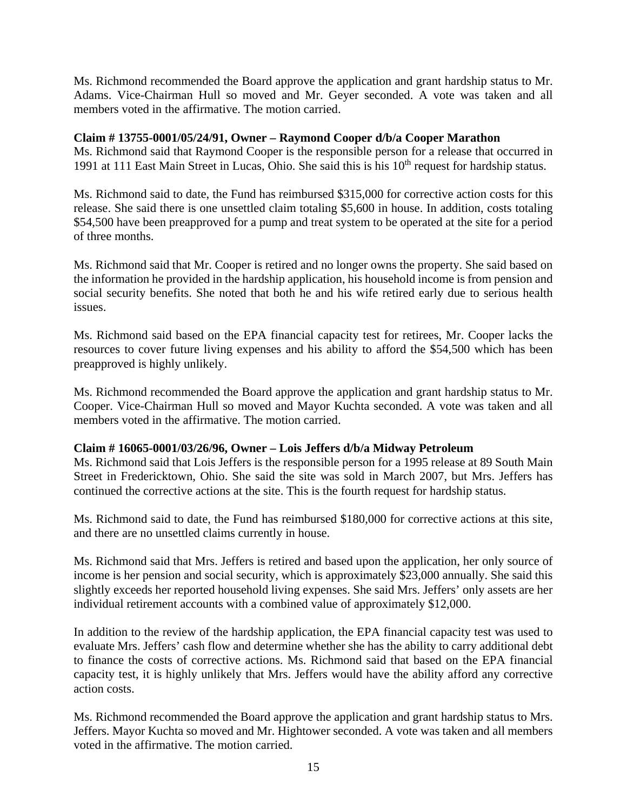Ms. Richmond recommended the Board approve the application and grant hardship status to Mr. Adams. Vice-Chairman Hull so moved and Mr. Geyer seconded. A vote was taken and all members voted in the affirmative. The motion carried.

# **Claim # 13755-0001/05/24/91, Owner – Raymond Cooper d/b/a Cooper Marathon**

Ms. Richmond said that Raymond Cooper is the responsible person for a release that occurred in 1991 at 111 East Main Street in Lucas, Ohio. She said this is his 10<sup>th</sup> request for hardship status.

Ms. Richmond said to date, the Fund has reimbursed \$315,000 for corrective action costs for this release. She said there is one unsettled claim totaling \$5,600 in house. In addition, costs totaling \$54,500 have been preapproved for a pump and treat system to be operated at the site for a period of three months.

Ms. Richmond said that Mr. Cooper is retired and no longer owns the property. She said based on the information he provided in the hardship application, his household income is from pension and social security benefits. She noted that both he and his wife retired early due to serious health issues.

Ms. Richmond said based on the EPA financial capacity test for retirees, Mr. Cooper lacks the resources to cover future living expenses and his ability to afford the \$54,500 which has been preapproved is highly unlikely.

Ms. Richmond recommended the Board approve the application and grant hardship status to Mr. Cooper. Vice-Chairman Hull so moved and Mayor Kuchta seconded. A vote was taken and all members voted in the affirmative. The motion carried.

# **Claim # 16065-0001/03/26/96, Owner – Lois Jeffers d/b/a Midway Petroleum**

Ms. Richmond said that Lois Jeffers is the responsible person for a 1995 release at 89 South Main Street in Fredericktown, Ohio. She said the site was sold in March 2007, but Mrs. Jeffers has continued the corrective actions at the site. This is the fourth request for hardship status.

Ms. Richmond said to date, the Fund has reimbursed \$180,000 for corrective actions at this site, and there are no unsettled claims currently in house.

Ms. Richmond said that Mrs. Jeffers is retired and based upon the application, her only source of income is her pension and social security, which is approximately \$23,000 annually. She said this slightly exceeds her reported household living expenses. She said Mrs. Jeffers' only assets are her individual retirement accounts with a combined value of approximately \$12,000.

In addition to the review of the hardship application, the EPA financial capacity test was used to evaluate Mrs. Jeffers' cash flow and determine whether she has the ability to carry additional debt to finance the costs of corrective actions. Ms. Richmond said that based on the EPA financial capacity test, it is highly unlikely that Mrs. Jeffers would have the ability afford any corrective action costs.

Ms. Richmond recommended the Board approve the application and grant hardship status to Mrs. Jeffers. Mayor Kuchta so moved and Mr. Hightower seconded. A vote was taken and all members voted in the affirmative. The motion carried.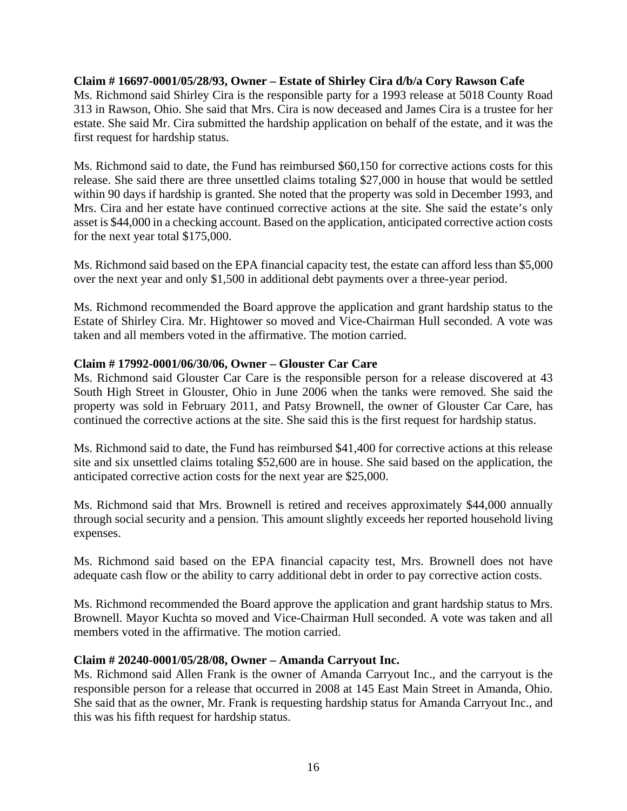# **Claim # 16697-0001/05/28/93, Owner – Estate of Shirley Cira d/b/a Cory Rawson Cafe**

Ms. Richmond said Shirley Cira is the responsible party for a 1993 release at 5018 County Road 313 in Rawson, Ohio. She said that Mrs. Cira is now deceased and James Cira is a trustee for her estate. She said Mr. Cira submitted the hardship application on behalf of the estate, and it was the first request for hardship status.

Ms. Richmond said to date, the Fund has reimbursed \$60,150 for corrective actions costs for this release. She said there are three unsettled claims totaling \$27,000 in house that would be settled within 90 days if hardship is granted. She noted that the property was sold in December 1993, and Mrs. Cira and her estate have continued corrective actions at the site. She said the estate's only asset is \$44,000 in a checking account. Based on the application, anticipated corrective action costs for the next year total \$175,000.

Ms. Richmond said based on the EPA financial capacity test, the estate can afford less than \$5,000 over the next year and only \$1,500 in additional debt payments over a three-year period.

Ms. Richmond recommended the Board approve the application and grant hardship status to the Estate of Shirley Cira. Mr. Hightower so moved and Vice-Chairman Hull seconded. A vote was taken and all members voted in the affirmative. The motion carried.

# **Claim # 17992-0001/06/30/06, Owner – Glouster Car Care**

Ms. Richmond said Glouster Car Care is the responsible person for a release discovered at 43 South High Street in Glouster, Ohio in June 2006 when the tanks were removed. She said the property was sold in February 2011, and Patsy Brownell, the owner of Glouster Car Care, has continued the corrective actions at the site. She said this is the first request for hardship status.

Ms. Richmond said to date, the Fund has reimbursed \$41,400 for corrective actions at this release site and six unsettled claims totaling \$52,600 are in house. She said based on the application, the anticipated corrective action costs for the next year are \$25,000.

Ms. Richmond said that Mrs. Brownell is retired and receives approximately \$44,000 annually through social security and a pension. This amount slightly exceeds her reported household living expenses.

Ms. Richmond said based on the EPA financial capacity test, Mrs. Brownell does not have adequate cash flow or the ability to carry additional debt in order to pay corrective action costs.

Ms. Richmond recommended the Board approve the application and grant hardship status to Mrs. Brownell. Mayor Kuchta so moved and Vice-Chairman Hull seconded. A vote was taken and all members voted in the affirmative. The motion carried.

# **Claim # 20240-0001/05/28/08, Owner – Amanda Carryout Inc.**

Ms. Richmond said Allen Frank is the owner of Amanda Carryout Inc., and the carryout is the responsible person for a release that occurred in 2008 at 145 East Main Street in Amanda, Ohio. She said that as the owner, Mr. Frank is requesting hardship status for Amanda Carryout Inc., and this was his fifth request for hardship status.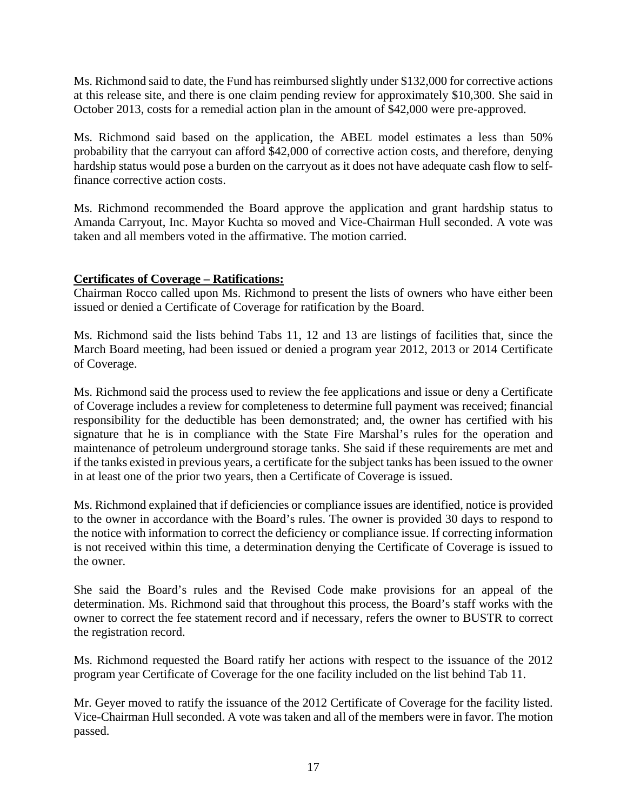Ms. Richmond said to date, the Fund has reimbursed slightly under \$132,000 for corrective actions at this release site, and there is one claim pending review for approximately \$10,300. She said in October 2013, costs for a remedial action plan in the amount of \$42,000 were pre-approved.

Ms. Richmond said based on the application, the ABEL model estimates a less than 50% probability that the carryout can afford \$42,000 of corrective action costs, and therefore, denying hardship status would pose a burden on the carryout as it does not have adequate cash flow to selffinance corrective action costs.

Ms. Richmond recommended the Board approve the application and grant hardship status to Amanda Carryout, Inc. Mayor Kuchta so moved and Vice-Chairman Hull seconded. A vote was taken and all members voted in the affirmative. The motion carried.

# **Certificates of Coverage – Ratifications:**

Chairman Rocco called upon Ms. Richmond to present the lists of owners who have either been issued or denied a Certificate of Coverage for ratification by the Board.

Ms. Richmond said the lists behind Tabs 11, 12 and 13 are listings of facilities that, since the March Board meeting, had been issued or denied a program year 2012, 2013 or 2014 Certificate of Coverage.

Ms. Richmond said the process used to review the fee applications and issue or deny a Certificate of Coverage includes a review for completeness to determine full payment was received; financial responsibility for the deductible has been demonstrated; and, the owner has certified with his signature that he is in compliance with the State Fire Marshal's rules for the operation and maintenance of petroleum underground storage tanks. She said if these requirements are met and if the tanks existed in previous years, a certificate for the subject tanks has been issued to the owner in at least one of the prior two years, then a Certificate of Coverage is issued.

Ms. Richmond explained that if deficiencies or compliance issues are identified, notice is provided to the owner in accordance with the Board's rules. The owner is provided 30 days to respond to the notice with information to correct the deficiency or compliance issue. If correcting information is not received within this time, a determination denying the Certificate of Coverage is issued to the owner.

She said the Board's rules and the Revised Code make provisions for an appeal of the determination. Ms. Richmond said that throughout this process, the Board's staff works with the owner to correct the fee statement record and if necessary, refers the owner to BUSTR to correct the registration record.

Ms. Richmond requested the Board ratify her actions with respect to the issuance of the 2012 program year Certificate of Coverage for the one facility included on the list behind Tab 11.

Mr. Geyer moved to ratify the issuance of the 2012 Certificate of Coverage for the facility listed. Vice-Chairman Hull seconded. A vote was taken and all of the members were in favor. The motion passed.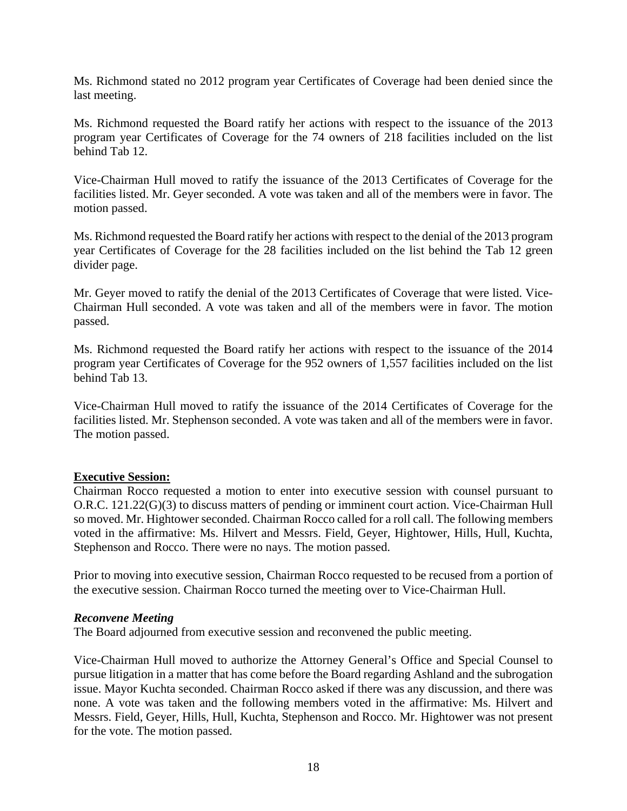Ms. Richmond stated no 2012 program year Certificates of Coverage had been denied since the last meeting.

Ms. Richmond requested the Board ratify her actions with respect to the issuance of the 2013 program year Certificates of Coverage for the 74 owners of 218 facilities included on the list behind Tab 12.

Vice-Chairman Hull moved to ratify the issuance of the 2013 Certificates of Coverage for the facilities listed. Mr. Geyer seconded. A vote was taken and all of the members were in favor. The motion passed.

Ms. Richmond requested the Board ratify her actions with respect to the denial of the 2013 program year Certificates of Coverage for the 28 facilities included on the list behind the Tab 12 green divider page.

Mr. Geyer moved to ratify the denial of the 2013 Certificates of Coverage that were listed. Vice-Chairman Hull seconded. A vote was taken and all of the members were in favor. The motion passed.

Ms. Richmond requested the Board ratify her actions with respect to the issuance of the 2014 program year Certificates of Coverage for the 952 owners of 1,557 facilities included on the list behind Tab 13.

Vice-Chairman Hull moved to ratify the issuance of the 2014 Certificates of Coverage for the facilities listed. Mr. Stephenson seconded. A vote was taken and all of the members were in favor. The motion passed.

# **Executive Session:**

Chairman Rocco requested a motion to enter into executive session with counsel pursuant to O.R.C. 121.22(G)(3) to discuss matters of pending or imminent court action. Vice-Chairman Hull so moved. Mr. Hightower seconded. Chairman Rocco called for a roll call. The following members voted in the affirmative: Ms. Hilvert and Messrs. Field, Geyer, Hightower, Hills, Hull, Kuchta, Stephenson and Rocco. There were no nays. The motion passed.

Prior to moving into executive session, Chairman Rocco requested to be recused from a portion of the executive session. Chairman Rocco turned the meeting over to Vice-Chairman Hull.

# *Reconvene Meeting*

The Board adjourned from executive session and reconvened the public meeting.

Vice-Chairman Hull moved to authorize the Attorney General's Office and Special Counsel to pursue litigation in a matter that has come before the Board regarding Ashland and the subrogation issue. Mayor Kuchta seconded. Chairman Rocco asked if there was any discussion, and there was none. A vote was taken and the following members voted in the affirmative: Ms. Hilvert and Messrs. Field, Geyer, Hills, Hull, Kuchta, Stephenson and Rocco. Mr. Hightower was not present for the vote. The motion passed.